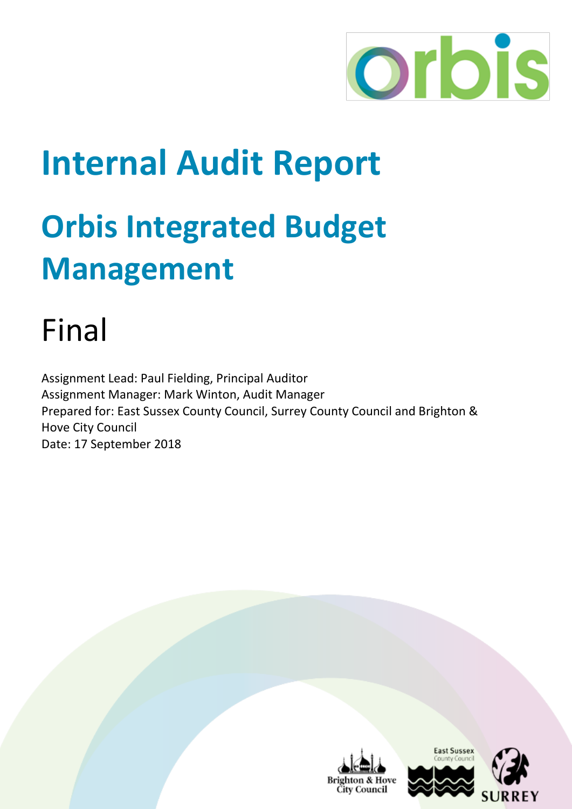

## **Internal Audit Report**

# **Orbis Integrated Budget Management**

## Final

Assignment Lead: Paul Fielding, Principal Auditor Assignment Manager: Mark Winton, Audit Manager Prepared for: East Sussex County Council, Surrey County Council and Brighton & Hove City Council Date: 17 September 2018





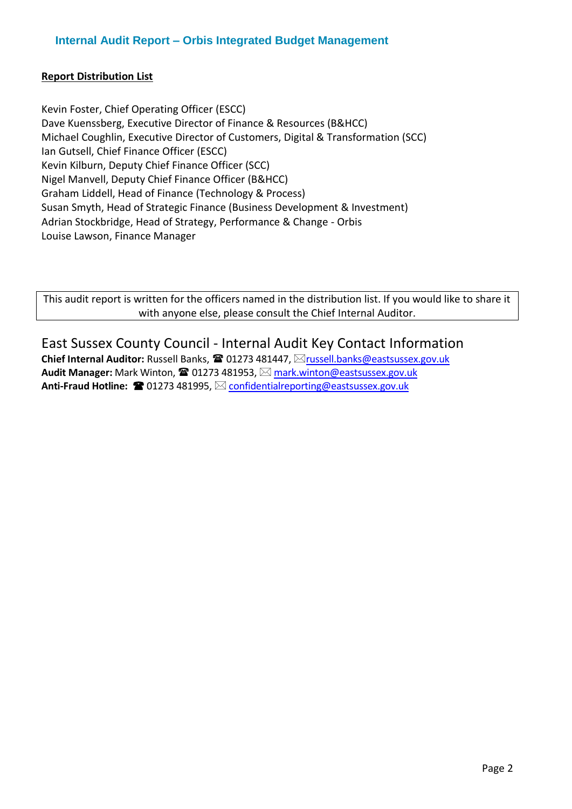#### **Report Distribution List**

Kevin Foster, Chief Operating Officer (ESCC) Dave Kuenssberg, Executive Director of Finance & Resources (B&HCC) Michael Coughlin, Executive Director of Customers, Digital & Transformation (SCC) Ian Gutsell, Chief Finance Officer (ESCC) Kevin Kilburn, Deputy Chief Finance Officer (SCC) Nigel Manvell, Deputy Chief Finance Officer (B&HCC) Graham Liddell, Head of Finance (Technology & Process) Susan Smyth, Head of Strategic Finance (Business Development & Investment) Adrian Stockbridge, Head of Strategy, Performance & Change - Orbis Louise Lawson, Finance Manager

This audit report is written for the officers named in the distribution list. If you would like to share it with anyone else, please consult the Chief Internal Auditor.

### East Sussex County Council - Internal Audit Key Contact Information

**Chief Internal Auditor: Russell Banks, ☎ 01273 481447, ⊠[russell.banks@eastsussex.gov.uk](mailto:russell.banks@eastsussex.gov.uk) Audit Manager:** Mark Winton, ☎ 01273 481953, ⊠ [mark.winton@eastsussex.gov.uk](mailto:mark.winton@eastsussex.gov.uk) **Anti-Fraud Hotline: ■ 01273 481995, ⊠ [confidentialreporting@eastsussex.gov.uk](mailto:confidentialreporting@eastsussex.gov.uk)**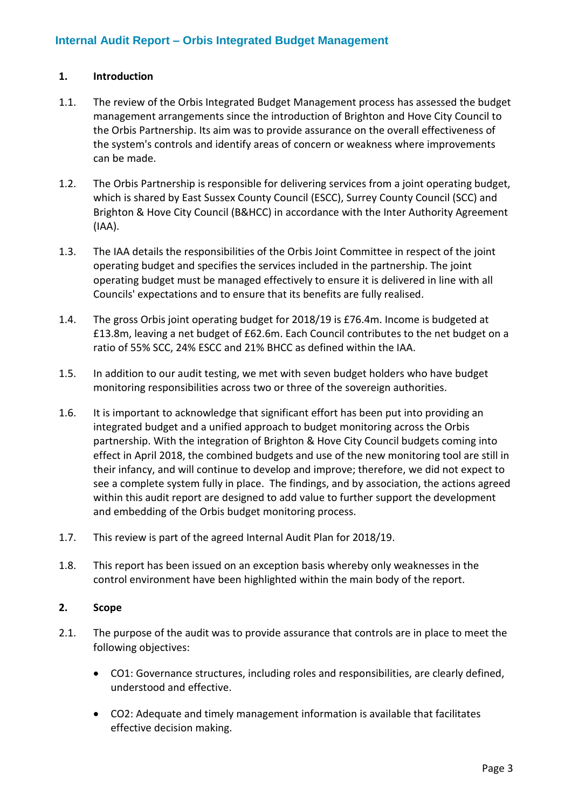#### **1. Introduction**

- 1.1. The review of the Orbis Integrated Budget Management process has assessed the budget management arrangements since the introduction of Brighton and Hove City Council to the Orbis Partnership. Its aim was to provide assurance on the overall effectiveness of the system's controls and identify areas of concern or weakness where improvements can be made.
- 1.2. The Orbis Partnership is responsible for delivering services from a joint operating budget, which is shared by East Sussex County Council (ESCC), Surrey County Council (SCC) and Brighton & Hove City Council (B&HCC) in accordance with the Inter Authority Agreement (IAA).
- 1.3. The IAA details the responsibilities of the Orbis Joint Committee in respect of the joint operating budget and specifies the services included in the partnership. The joint operating budget must be managed effectively to ensure it is delivered in line with all Councils' expectations and to ensure that its benefits are fully realised.
- 1.4. The gross Orbis joint operating budget for 2018/19 is £76.4m. Income is budgeted at £13.8m, leaving a net budget of £62.6m. Each Council contributes to the net budget on a ratio of 55% SCC, 24% ESCC and 21% BHCC as defined within the IAA.
- 1.5. In addition to our audit testing, we met with seven budget holders who have budget monitoring responsibilities across two or three of the sovereign authorities.
- 1.6. It is important to acknowledge that significant effort has been put into providing an integrated budget and a unified approach to budget monitoring across the Orbis partnership. With the integration of Brighton & Hove City Council budgets coming into effect in April 2018, the combined budgets and use of the new monitoring tool are still in their infancy, and will continue to develop and improve; therefore, we did not expect to see a complete system fully in place. The findings, and by association, the actions agreed within this audit report are designed to add value to further support the development and embedding of the Orbis budget monitoring process.
- 1.7. This review is part of the agreed Internal Audit Plan for 2018/19.
- 1.8. This report has been issued on an exception basis whereby only weaknesses in the control environment have been highlighted within the main body of the report.

#### **2. Scope**

- 2.1. The purpose of the audit was to provide assurance that controls are in place to meet the following objectives:
	- CO1: Governance structures, including roles and responsibilities, are clearly defined, understood and effective.
	- CO2: Adequate and timely management information is available that facilitates effective decision making.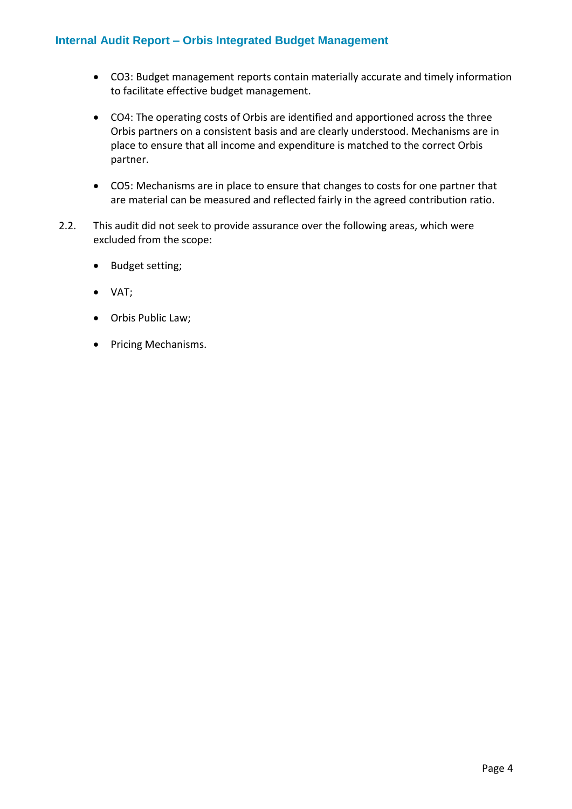- CO3: Budget management reports contain materially accurate and timely information to facilitate effective budget management.
- CO4: The operating costs of Orbis are identified and apportioned across the three Orbis partners on a consistent basis and are clearly understood. Mechanisms are in place to ensure that all income and expenditure is matched to the correct Orbis partner.
- CO5: Mechanisms are in place to ensure that changes to costs for one partner that are material can be measured and reflected fairly in the agreed contribution ratio.
- 2.2. This audit did not seek to provide assurance over the following areas, which were excluded from the scope:
	- Budget setting;
	- VAT;
	- Orbis Public Law;
	- Pricing Mechanisms.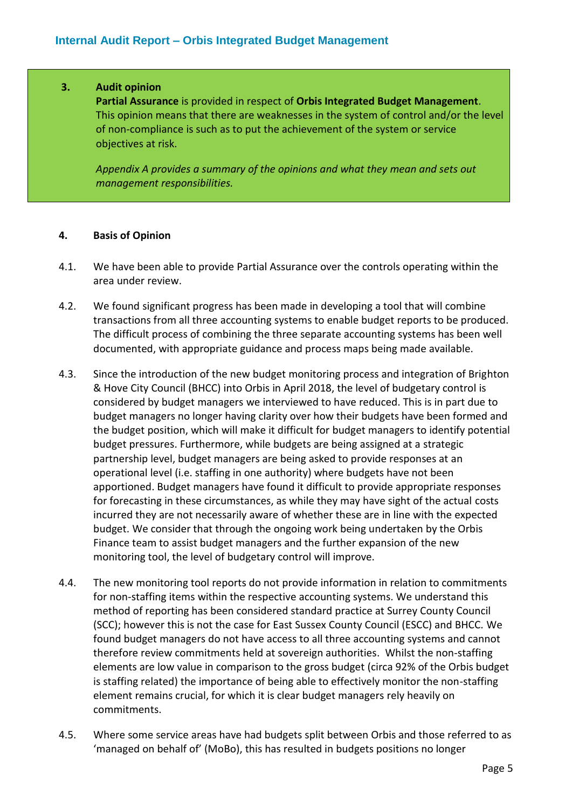#### **3. Audit opinion**

**Partial Assurance** is provided in respect of **Orbis Integrated Budget Management**. This opinion means that there are weaknesses in the system of control and/or the level of non-compliance is such as to put the achievement of the system or service objectives at risk.

*Appendix A provides a summary of the opinions and what they mean and sets out management responsibilities.*

#### **4. Basis of Opinion**

- 4.1. We have been able to provide Partial Assurance over the controls operating within the area under review.
- 4.2. We found significant progress has been made in developing a tool that will combine transactions from all three accounting systems to enable budget reports to be produced. The difficult process of combining the three separate accounting systems has been well documented, with appropriate guidance and process maps being made available.
- 4.3. Since the introduction of the new budget monitoring process and integration of Brighton & Hove City Council (BHCC) into Orbis in April 2018, the level of budgetary control is considered by budget managers we interviewed to have reduced. This is in part due to budget managers no longer having clarity over how their budgets have been formed and the budget position, which will make it difficult for budget managers to identify potential budget pressures. Furthermore, while budgets are being assigned at a strategic partnership level, budget managers are being asked to provide responses at an operational level (i.e. staffing in one authority) where budgets have not been apportioned. Budget managers have found it difficult to provide appropriate responses for forecasting in these circumstances, as while they may have sight of the actual costs incurred they are not necessarily aware of whether these are in line with the expected budget. We consider that through the ongoing work being undertaken by the Orbis Finance team to assist budget managers and the further expansion of the new monitoring tool, the level of budgetary control will improve.
- 4.4. The new monitoring tool reports do not provide information in relation to commitments for non-staffing items within the respective accounting systems. We understand this method of reporting has been considered standard practice at Surrey County Council (SCC); however this is not the case for East Sussex County Council (ESCC) and BHCC. We found budget managers do not have access to all three accounting systems and cannot therefore review commitments held at sovereign authorities. Whilst the non-staffing elements are low value in comparison to the gross budget (circa 92% of the Orbis budget is staffing related) the importance of being able to effectively monitor the non-staffing element remains crucial, for which it is clear budget managers rely heavily on commitments.
- 4.5. Where some service areas have had budgets split between Orbis and those referred to as 'managed on behalf of' (MoBo), this has resulted in budgets positions no longer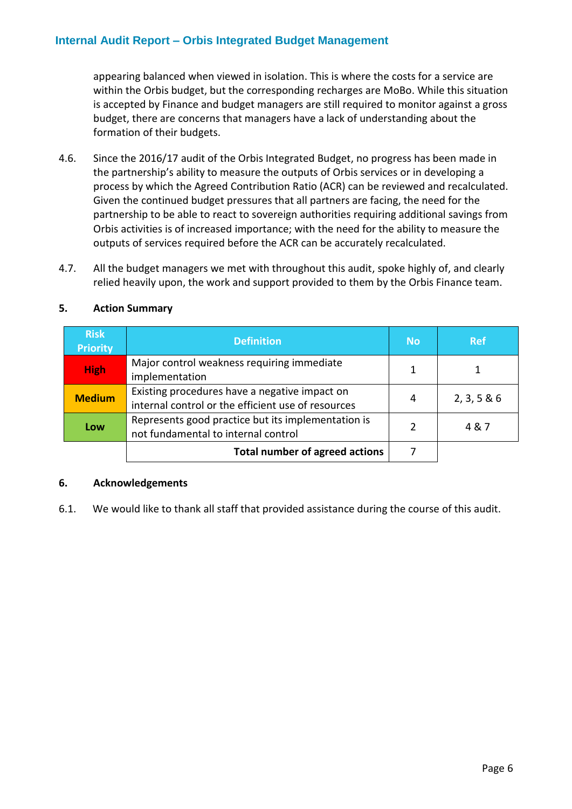appearing balanced when viewed in isolation. This is where the costs for a service are within the Orbis budget, but the corresponding recharges are MoBo. While this situation is accepted by Finance and budget managers are still required to monitor against a gross budget, there are concerns that managers have a lack of understanding about the formation of their budgets.

- 4.6. Since the 2016/17 audit of the Orbis Integrated Budget, no progress has been made in the partnership's ability to measure the outputs of Orbis services or in developing a process by which the Agreed Contribution Ratio (ACR) can be reviewed and recalculated. Given the continued budget pressures that all partners are facing, the need for the partnership to be able to react to sovereign authorities requiring additional savings from Orbis activities is of increased importance; with the need for the ability to measure the outputs of services required before the ACR can be accurately recalculated.
- 4.7. All the budget managers we met with throughout this audit, spoke highly of, and clearly relied heavily upon, the work and support provided to them by the Orbis Finance team.

| <b>Risk</b><br><b>Priority</b> | <b>Definition</b>                                                                                   | <b>No</b> | <b>Ref</b>  |
|--------------------------------|-----------------------------------------------------------------------------------------------------|-----------|-------------|
| <b>High</b>                    | Major control weakness requiring immediate<br>implementation                                        |           |             |
| <b>Medium</b>                  | Existing procedures have a negative impact on<br>internal control or the efficient use of resources | 4         | 2, 3, 5 & 6 |
| Low                            | Represents good practice but its implementation is<br>not fundamental to internal control           | C         | 4&7         |
|                                | <b>Total number of agreed actions</b>                                                               |           |             |

#### **5. Action Summary**

#### **6. Acknowledgements**

6.1. We would like to thank all staff that provided assistance during the course of this audit.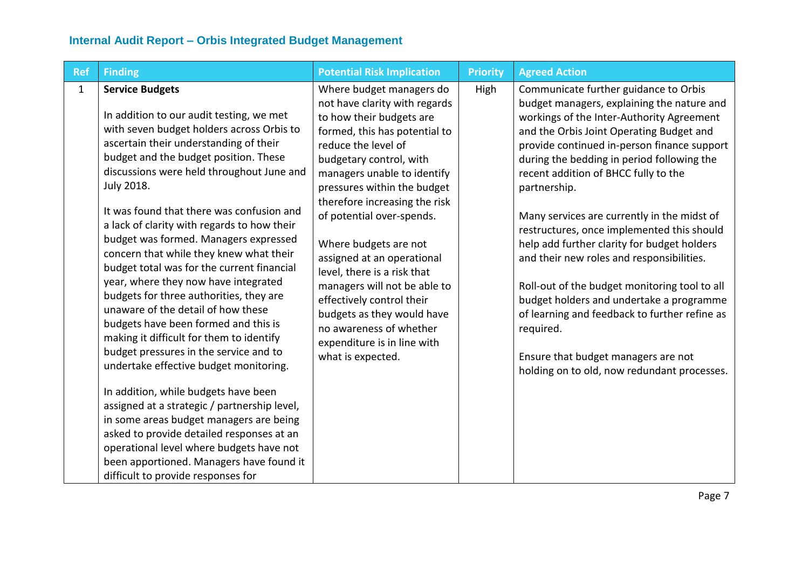| <b>Ref</b>   | <b>Finding</b>                                                                                                                                                                                                                                                                                                                                                                                                                                                                                                                                                                                                                                                                                                                                                                                                                                                                                                                                                                                                                                                                                             | <b>Potential Risk Implication</b>                                                                                                                                                                                                                                                                                                                                                                                                                                                                                                                                    | <b>Priority</b> | <b>Agreed Action</b>                                                                                                                                                                                                                                                                                                                                                                                                                                                                                                                                                                                                                                                                                                                                                        |
|--------------|------------------------------------------------------------------------------------------------------------------------------------------------------------------------------------------------------------------------------------------------------------------------------------------------------------------------------------------------------------------------------------------------------------------------------------------------------------------------------------------------------------------------------------------------------------------------------------------------------------------------------------------------------------------------------------------------------------------------------------------------------------------------------------------------------------------------------------------------------------------------------------------------------------------------------------------------------------------------------------------------------------------------------------------------------------------------------------------------------------|----------------------------------------------------------------------------------------------------------------------------------------------------------------------------------------------------------------------------------------------------------------------------------------------------------------------------------------------------------------------------------------------------------------------------------------------------------------------------------------------------------------------------------------------------------------------|-----------------|-----------------------------------------------------------------------------------------------------------------------------------------------------------------------------------------------------------------------------------------------------------------------------------------------------------------------------------------------------------------------------------------------------------------------------------------------------------------------------------------------------------------------------------------------------------------------------------------------------------------------------------------------------------------------------------------------------------------------------------------------------------------------------|
| $\mathbf{1}$ | <b>Service Budgets</b><br>In addition to our audit testing, we met<br>with seven budget holders across Orbis to<br>ascertain their understanding of their<br>budget and the budget position. These<br>discussions were held throughout June and<br>July 2018.<br>It was found that there was confusion and<br>a lack of clarity with regards to how their<br>budget was formed. Managers expressed<br>concern that while they knew what their<br>budget total was for the current financial<br>year, where they now have integrated<br>budgets for three authorities, they are<br>unaware of the detail of how these<br>budgets have been formed and this is<br>making it difficult for them to identify<br>budget pressures in the service and to<br>undertake effective budget monitoring.<br>In addition, while budgets have been<br>assigned at a strategic / partnership level,<br>in some areas budget managers are being<br>asked to provide detailed responses at an<br>operational level where budgets have not<br>been apportioned. Managers have found it<br>difficult to provide responses for | Where budget managers do<br>not have clarity with regards<br>to how their budgets are<br>formed, this has potential to<br>reduce the level of<br>budgetary control, with<br>managers unable to identify<br>pressures within the budget<br>therefore increasing the risk<br>of potential over-spends.<br>Where budgets are not<br>assigned at an operational<br>level, there is a risk that<br>managers will not be able to<br>effectively control their<br>budgets as they would have<br>no awareness of whether<br>expenditure is in line with<br>what is expected. | High            | Communicate further guidance to Orbis<br>budget managers, explaining the nature and<br>workings of the Inter-Authority Agreement<br>and the Orbis Joint Operating Budget and<br>provide continued in-person finance support<br>during the bedding in period following the<br>recent addition of BHCC fully to the<br>partnership.<br>Many services are currently in the midst of<br>restructures, once implemented this should<br>help add further clarity for budget holders<br>and their new roles and responsibilities.<br>Roll-out of the budget monitoring tool to all<br>budget holders and undertake a programme<br>of learning and feedback to further refine as<br>required.<br>Ensure that budget managers are not<br>holding on to old, now redundant processes. |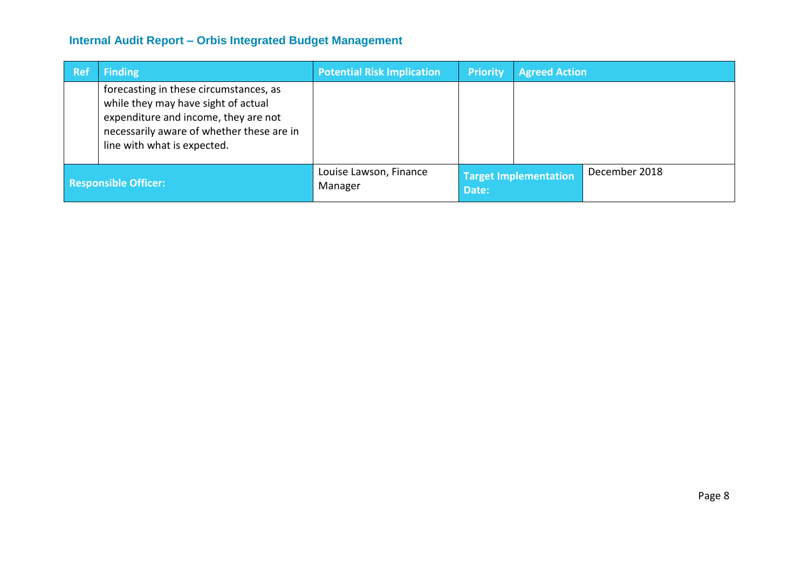| <b>Ref</b>                  | <b>Finding</b>                                                                                                                                                                                    | <b>Potential Risk Implication</b> | <b>Priority</b> | <b>Agreed Action</b>         |               |
|-----------------------------|---------------------------------------------------------------------------------------------------------------------------------------------------------------------------------------------------|-----------------------------------|-----------------|------------------------------|---------------|
|                             | forecasting in these circumstances, as<br>while they may have sight of actual<br>expenditure and income, they are not<br>necessarily aware of whether these are in<br>line with what is expected. |                                   |                 |                              |               |
| <b>Responsible Officer:</b> |                                                                                                                                                                                                   | Louise Lawson, Finance<br>Manager | Date:           | <b>Target Implementation</b> | December 2018 |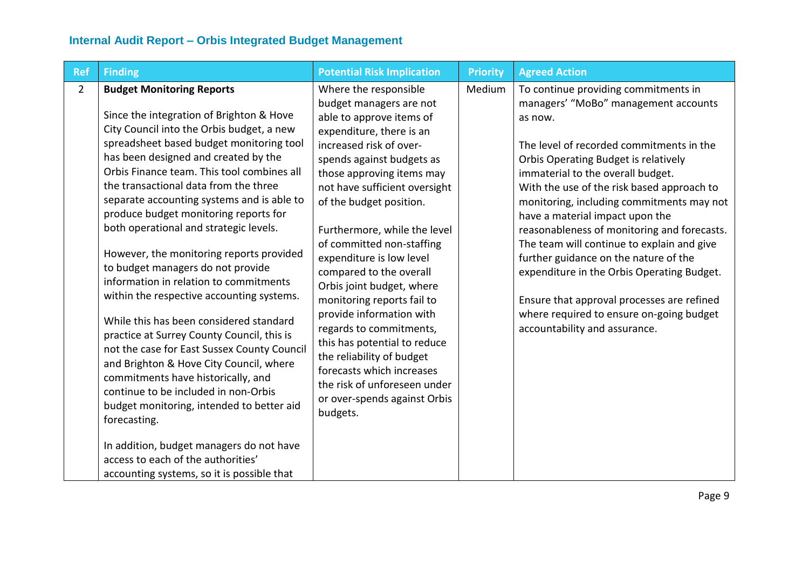| <b>Ref</b>     | <b>Finding</b>                                                                                                                                                                                                                                                                                                                                                                                                                                                                                                                                                                                                                                                                                                                                                                                                                                                                                                                                                                                                                                                              | <b>Potential Risk Implication</b>                                                                                                                                                                                                                                                                                                                                                                                                                                                                                                                                                                                                                                     | <b>Priority</b> | <b>Agreed Action</b>                                                                                                                                                                                                                                                                                                                                                                                                                                                                                                                                                                                                                                          |
|----------------|-----------------------------------------------------------------------------------------------------------------------------------------------------------------------------------------------------------------------------------------------------------------------------------------------------------------------------------------------------------------------------------------------------------------------------------------------------------------------------------------------------------------------------------------------------------------------------------------------------------------------------------------------------------------------------------------------------------------------------------------------------------------------------------------------------------------------------------------------------------------------------------------------------------------------------------------------------------------------------------------------------------------------------------------------------------------------------|-----------------------------------------------------------------------------------------------------------------------------------------------------------------------------------------------------------------------------------------------------------------------------------------------------------------------------------------------------------------------------------------------------------------------------------------------------------------------------------------------------------------------------------------------------------------------------------------------------------------------------------------------------------------------|-----------------|---------------------------------------------------------------------------------------------------------------------------------------------------------------------------------------------------------------------------------------------------------------------------------------------------------------------------------------------------------------------------------------------------------------------------------------------------------------------------------------------------------------------------------------------------------------------------------------------------------------------------------------------------------------|
| $\overline{2}$ | <b>Budget Monitoring Reports</b><br>Since the integration of Brighton & Hove<br>City Council into the Orbis budget, a new<br>spreadsheet based budget monitoring tool<br>has been designed and created by the<br>Orbis Finance team. This tool combines all<br>the transactional data from the three<br>separate accounting systems and is able to<br>produce budget monitoring reports for<br>both operational and strategic levels.<br>However, the monitoring reports provided<br>to budget managers do not provide<br>information in relation to commitments<br>within the respective accounting systems.<br>While this has been considered standard<br>practice at Surrey County Council, this is<br>not the case for East Sussex County Council<br>and Brighton & Hove City Council, where<br>commitments have historically, and<br>continue to be included in non-Orbis<br>budget monitoring, intended to better aid<br>forecasting.<br>In addition, budget managers do not have<br>access to each of the authorities'<br>accounting systems, so it is possible that | Where the responsible<br>budget managers are not<br>able to approve items of<br>expenditure, there is an<br>increased risk of over-<br>spends against budgets as<br>those approving items may<br>not have sufficient oversight<br>of the budget position.<br>Furthermore, while the level<br>of committed non-staffing<br>expenditure is low level<br>compared to the overall<br>Orbis joint budget, where<br>monitoring reports fail to<br>provide information with<br>regards to commitments,<br>this has potential to reduce<br>the reliability of budget<br>forecasts which increases<br>the risk of unforeseen under<br>or over-spends against Orbis<br>budgets. | Medium          | To continue providing commitments in<br>managers' "MoBo" management accounts<br>as now.<br>The level of recorded commitments in the<br>Orbis Operating Budget is relatively<br>immaterial to the overall budget.<br>With the use of the risk based approach to<br>monitoring, including commitments may not<br>have a material impact upon the<br>reasonableness of monitoring and forecasts.<br>The team will continue to explain and give<br>further guidance on the nature of the<br>expenditure in the Orbis Operating Budget.<br>Ensure that approval processes are refined<br>where required to ensure on-going budget<br>accountability and assurance. |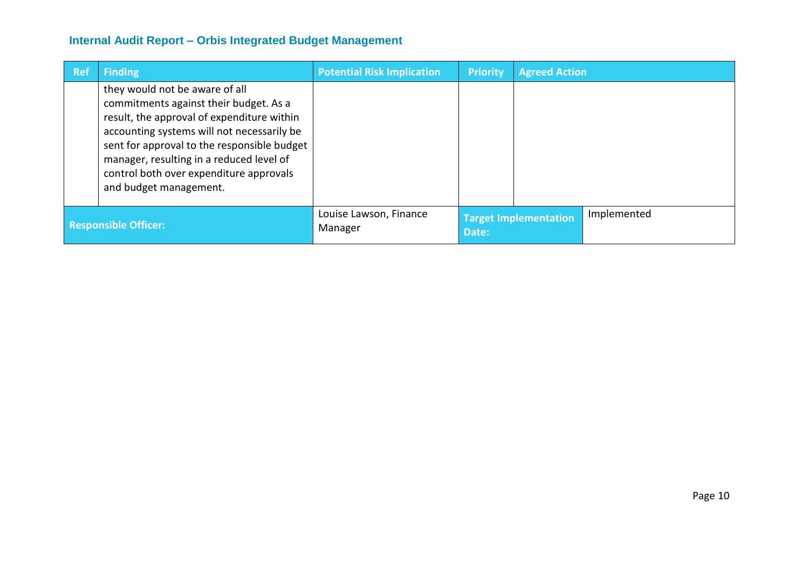| <b>Ref</b> | <b>Finding</b>                                                                                                                                                                                                                                                                                                                       | <b>Potential Risk Implication</b> | <b>Priority</b> | <b>Agreed Action</b>         |             |
|------------|--------------------------------------------------------------------------------------------------------------------------------------------------------------------------------------------------------------------------------------------------------------------------------------------------------------------------------------|-----------------------------------|-----------------|------------------------------|-------------|
|            | they would not be aware of all<br>commitments against their budget. As a<br>result, the approval of expenditure within<br>accounting systems will not necessarily be<br>sent for approval to the responsible budget<br>manager, resulting in a reduced level of<br>control both over expenditure approvals<br>and budget management. |                                   |                 |                              |             |
|            | <b>Responsible Officer:</b>                                                                                                                                                                                                                                                                                                          | Louise Lawson, Finance<br>Manager | Date:           | <b>Target Implementation</b> | Implemented |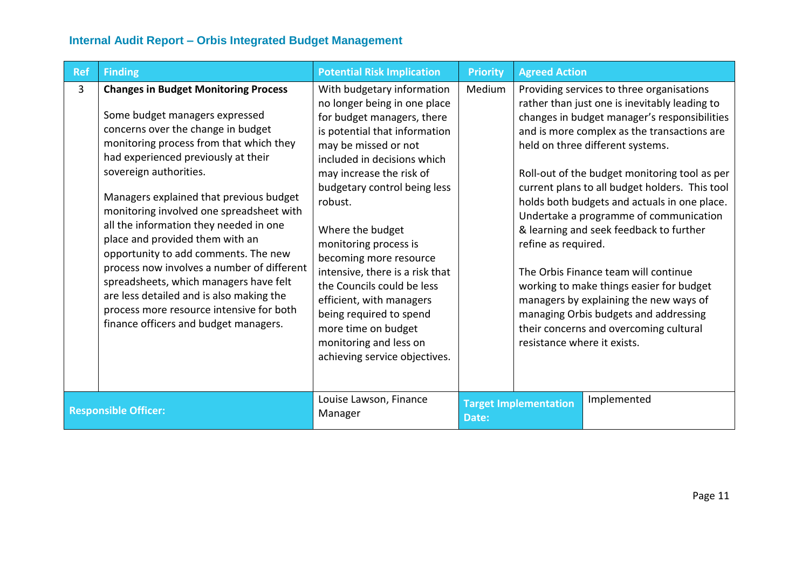| Ref                         | <b>Finding</b>                                                                                                                                                                                                                                                                                                                                                                                                                                                                                                                                                                                                                                                       | <b>Potential Risk Implication</b>                                                                                                                                                                                                                                                                                                                                                                                                                                                                                                        | <b>Priority</b> | <b>Agreed Action</b>                               |                                                                                                                                                                                                                                                                                                                                                                                                                                                                                                                                                                                                                                                                                        |
|-----------------------------|----------------------------------------------------------------------------------------------------------------------------------------------------------------------------------------------------------------------------------------------------------------------------------------------------------------------------------------------------------------------------------------------------------------------------------------------------------------------------------------------------------------------------------------------------------------------------------------------------------------------------------------------------------------------|------------------------------------------------------------------------------------------------------------------------------------------------------------------------------------------------------------------------------------------------------------------------------------------------------------------------------------------------------------------------------------------------------------------------------------------------------------------------------------------------------------------------------------------|-----------------|----------------------------------------------------|----------------------------------------------------------------------------------------------------------------------------------------------------------------------------------------------------------------------------------------------------------------------------------------------------------------------------------------------------------------------------------------------------------------------------------------------------------------------------------------------------------------------------------------------------------------------------------------------------------------------------------------------------------------------------------------|
| 3                           | <b>Changes in Budget Monitoring Process</b><br>Some budget managers expressed<br>concerns over the change in budget<br>monitoring process from that which they<br>had experienced previously at their<br>sovereign authorities.<br>Managers explained that previous budget<br>monitoring involved one spreadsheet with<br>all the information they needed in one<br>place and provided them with an<br>opportunity to add comments. The new<br>process now involves a number of different<br>spreadsheets, which managers have felt<br>are less detailed and is also making the<br>process more resource intensive for both<br>finance officers and budget managers. | With budgetary information<br>no longer being in one place<br>for budget managers, there<br>is potential that information<br>may be missed or not<br>included in decisions which<br>may increase the risk of<br>budgetary control being less<br>robust.<br>Where the budget<br>monitoring process is<br>becoming more resource<br>intensive, there is a risk that<br>the Councils could be less<br>efficient, with managers<br>being required to spend<br>more time on budget<br>monitoring and less on<br>achieving service objectives. | Medium          | refine as required.<br>resistance where it exists. | Providing services to three organisations<br>rather than just one is inevitably leading to<br>changes in budget manager's responsibilities<br>and is more complex as the transactions are<br>held on three different systems.<br>Roll-out of the budget monitoring tool as per<br>current plans to all budget holders. This tool<br>holds both budgets and actuals in one place.<br>Undertake a programme of communication<br>& learning and seek feedback to further<br>The Orbis Finance team will continue<br>working to make things easier for budget<br>managers by explaining the new ways of<br>managing Orbis budgets and addressing<br>their concerns and overcoming cultural |
| <b>Responsible Officer:</b> |                                                                                                                                                                                                                                                                                                                                                                                                                                                                                                                                                                                                                                                                      | Louise Lawson, Finance<br>Manager                                                                                                                                                                                                                                                                                                                                                                                                                                                                                                        | Date:           | <b>Target Implementation</b>                       | Implemented                                                                                                                                                                                                                                                                                                                                                                                                                                                                                                                                                                                                                                                                            |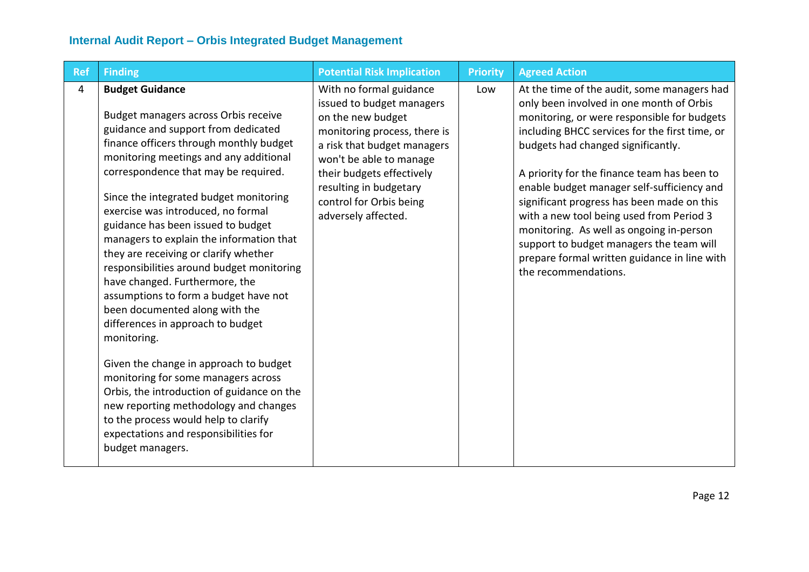| <b>Ref</b> | <b>Finding</b>                                                                                                                                                                                                                                                                                                                                                                                                                                                                                                                                                                                                                                                                                                                                                                                                                                                                                                                           | <b>Potential Risk Implication</b>                                                                                                                                                                                                                                            | <b>Priority</b> | <b>Agreed Action</b>                                                                                                                                                                                                                                                                                                                                                                                                                                                                                                                                                                  |
|------------|------------------------------------------------------------------------------------------------------------------------------------------------------------------------------------------------------------------------------------------------------------------------------------------------------------------------------------------------------------------------------------------------------------------------------------------------------------------------------------------------------------------------------------------------------------------------------------------------------------------------------------------------------------------------------------------------------------------------------------------------------------------------------------------------------------------------------------------------------------------------------------------------------------------------------------------|------------------------------------------------------------------------------------------------------------------------------------------------------------------------------------------------------------------------------------------------------------------------------|-----------------|---------------------------------------------------------------------------------------------------------------------------------------------------------------------------------------------------------------------------------------------------------------------------------------------------------------------------------------------------------------------------------------------------------------------------------------------------------------------------------------------------------------------------------------------------------------------------------------|
| 4          | <b>Budget Guidance</b><br>Budget managers across Orbis receive<br>guidance and support from dedicated<br>finance officers through monthly budget<br>monitoring meetings and any additional<br>correspondence that may be required.<br>Since the integrated budget monitoring<br>exercise was introduced, no formal<br>guidance has been issued to budget<br>managers to explain the information that<br>they are receiving or clarify whether<br>responsibilities around budget monitoring<br>have changed. Furthermore, the<br>assumptions to form a budget have not<br>been documented along with the<br>differences in approach to budget<br>monitoring.<br>Given the change in approach to budget<br>monitoring for some managers across<br>Orbis, the introduction of guidance on the<br>new reporting methodology and changes<br>to the process would help to clarify<br>expectations and responsibilities for<br>budget managers. | With no formal guidance<br>issued to budget managers<br>on the new budget<br>monitoring process, there is<br>a risk that budget managers<br>won't be able to manage<br>their budgets effectively<br>resulting in budgetary<br>control for Orbis being<br>adversely affected. | Low             | At the time of the audit, some managers had<br>only been involved in one month of Orbis<br>monitoring, or were responsible for budgets<br>including BHCC services for the first time, or<br>budgets had changed significantly.<br>A priority for the finance team has been to<br>enable budget manager self-sufficiency and<br>significant progress has been made on this<br>with a new tool being used from Period 3<br>monitoring. As well as ongoing in-person<br>support to budget managers the team will<br>prepare formal written guidance in line with<br>the recommendations. |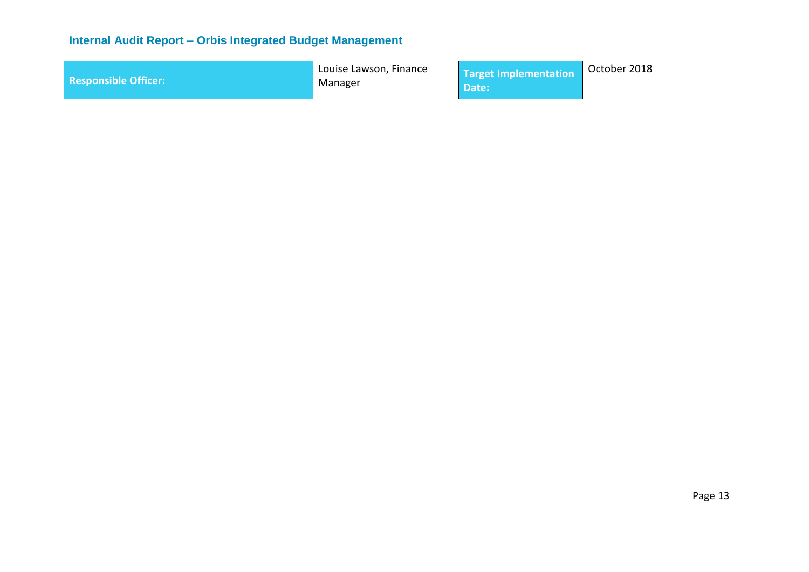|                             | Louise Lawson, Finance | Target Implementation | October 2018 |
|-----------------------------|------------------------|-----------------------|--------------|
| <b>Responsible Officer:</b> | Manager                | Date:                 |              |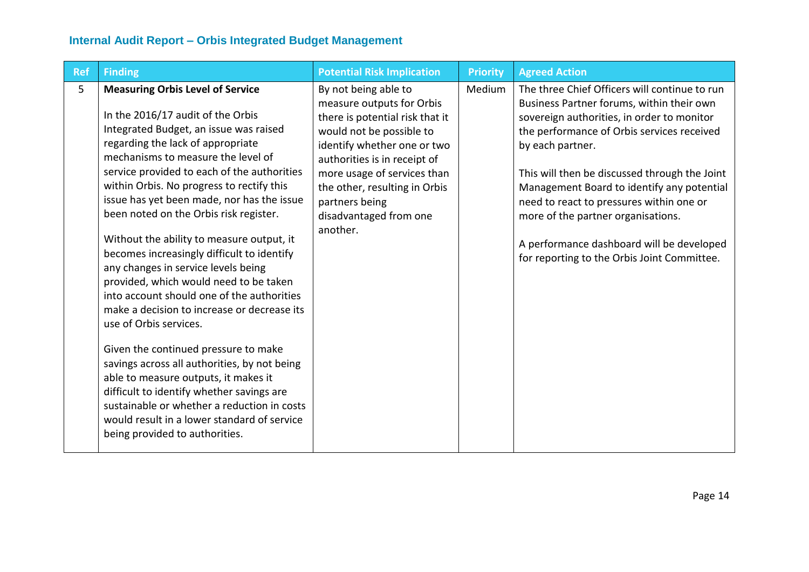| <b>Ref</b> | <b>Finding</b>                                                                                                                                                                                                                                                                                                                                                                                                                                                                                                                                                                                                                                                                                                                                                                                                                                                                                                                                                                                        | <b>Potential Risk Implication</b>                                                                                                                                                                                                                                                                       | <b>Priority</b> | <b>Agreed Action</b>                                                                                                                                                                                                                                                                                                                                                                                                                                                                    |
|------------|-------------------------------------------------------------------------------------------------------------------------------------------------------------------------------------------------------------------------------------------------------------------------------------------------------------------------------------------------------------------------------------------------------------------------------------------------------------------------------------------------------------------------------------------------------------------------------------------------------------------------------------------------------------------------------------------------------------------------------------------------------------------------------------------------------------------------------------------------------------------------------------------------------------------------------------------------------------------------------------------------------|---------------------------------------------------------------------------------------------------------------------------------------------------------------------------------------------------------------------------------------------------------------------------------------------------------|-----------------|-----------------------------------------------------------------------------------------------------------------------------------------------------------------------------------------------------------------------------------------------------------------------------------------------------------------------------------------------------------------------------------------------------------------------------------------------------------------------------------------|
| 5          | <b>Measuring Orbis Level of Service</b><br>In the 2016/17 audit of the Orbis<br>Integrated Budget, an issue was raised<br>regarding the lack of appropriate<br>mechanisms to measure the level of<br>service provided to each of the authorities<br>within Orbis. No progress to rectify this<br>issue has yet been made, nor has the issue<br>been noted on the Orbis risk register.<br>Without the ability to measure output, it<br>becomes increasingly difficult to identify<br>any changes in service levels being<br>provided, which would need to be taken<br>into account should one of the authorities<br>make a decision to increase or decrease its<br>use of Orbis services.<br>Given the continued pressure to make<br>savings across all authorities, by not being<br>able to measure outputs, it makes it<br>difficult to identify whether savings are<br>sustainable or whether a reduction in costs<br>would result in a lower standard of service<br>being provided to authorities. | By not being able to<br>measure outputs for Orbis<br>there is potential risk that it<br>would not be possible to<br>identify whether one or two<br>authorities is in receipt of<br>more usage of services than<br>the other, resulting in Orbis<br>partners being<br>disadvantaged from one<br>another. | Medium          | The three Chief Officers will continue to run<br>Business Partner forums, within their own<br>sovereign authorities, in order to monitor<br>the performance of Orbis services received<br>by each partner.<br>This will then be discussed through the Joint<br>Management Board to identify any potential<br>need to react to pressures within one or<br>more of the partner organisations.<br>A performance dashboard will be developed<br>for reporting to the Orbis Joint Committee. |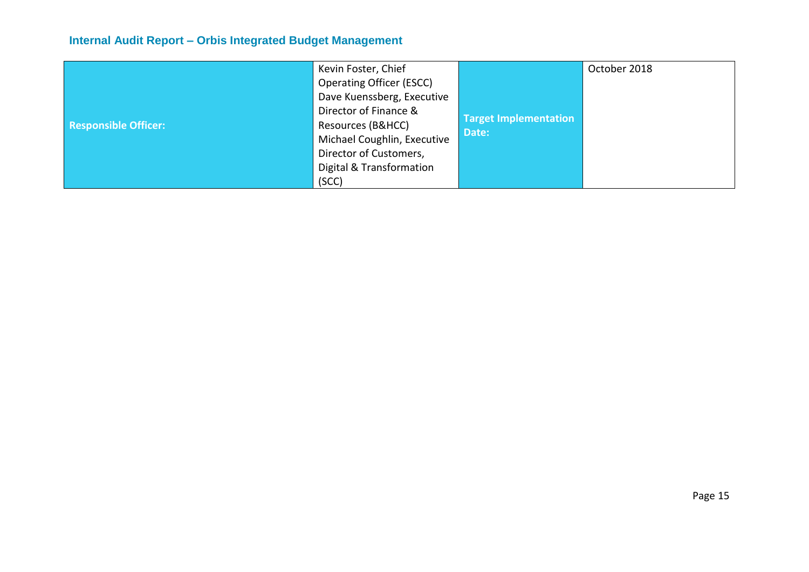|                             | Kevin Foster, Chief             |                              | October 2018 |
|-----------------------------|---------------------------------|------------------------------|--------------|
|                             | <b>Operating Officer (ESCC)</b> |                              |              |
|                             | Dave Kuenssberg, Executive      |                              |              |
|                             | Director of Finance &           | <b>Target Implementation</b> |              |
| <b>Responsible Officer:</b> | Resources (B&HCC)               | Date:                        |              |
|                             | Michael Coughlin, Executive     |                              |              |
|                             | Director of Customers,          |                              |              |
|                             | Digital & Transformation        |                              |              |
|                             | (SCC)                           |                              |              |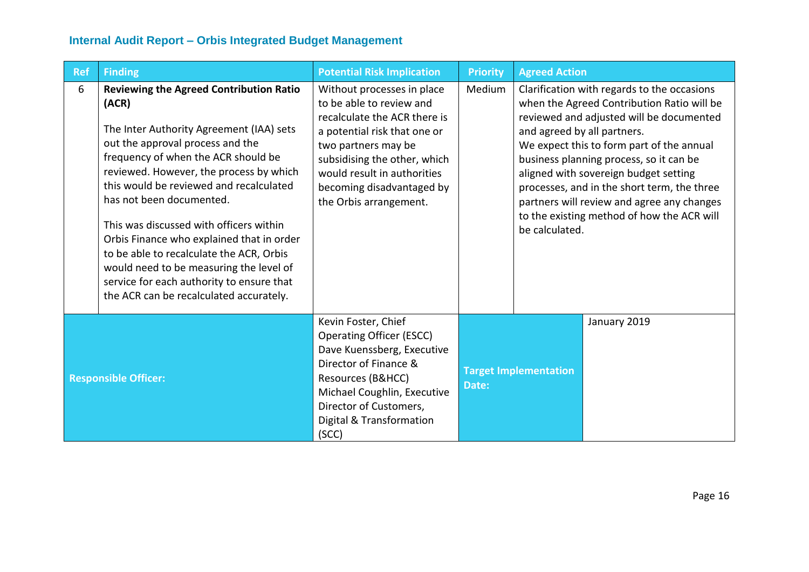| Ref                         | <b>Finding</b>                                                                                                                                                                                                                                                                                                                                                                                                                                                                                                                                                          | <b>Potential Risk Implication</b>                                                                                                                                                                                                                                   | <b>Priority</b>                                       | <b>Agreed Action</b>                                                                                                                                                                                                                                                                                                                                                                                                                                               |
|-----------------------------|-------------------------------------------------------------------------------------------------------------------------------------------------------------------------------------------------------------------------------------------------------------------------------------------------------------------------------------------------------------------------------------------------------------------------------------------------------------------------------------------------------------------------------------------------------------------------|---------------------------------------------------------------------------------------------------------------------------------------------------------------------------------------------------------------------------------------------------------------------|-------------------------------------------------------|--------------------------------------------------------------------------------------------------------------------------------------------------------------------------------------------------------------------------------------------------------------------------------------------------------------------------------------------------------------------------------------------------------------------------------------------------------------------|
| 6                           | <b>Reviewing the Agreed Contribution Ratio</b><br>(ACR)<br>The Inter Authority Agreement (IAA) sets<br>out the approval process and the<br>frequency of when the ACR should be<br>reviewed. However, the process by which<br>this would be reviewed and recalculated<br>has not been documented.<br>This was discussed with officers within<br>Orbis Finance who explained that in order<br>to be able to recalculate the ACR, Orbis<br>would need to be measuring the level of<br>service for each authority to ensure that<br>the ACR can be recalculated accurately. | Without processes in place<br>to be able to review and<br>recalculate the ACR there is<br>a potential risk that one or<br>two partners may be<br>subsidising the other, which<br>would result in authorities<br>becoming disadvantaged by<br>the Orbis arrangement. | Medium                                                | Clarification with regards to the occasions<br>when the Agreed Contribution Ratio will be<br>reviewed and adjusted will be documented<br>and agreed by all partners.<br>We expect this to form part of the annual<br>business planning process, so it can be<br>aligned with sovereign budget setting<br>processes, and in the short term, the three<br>partners will review and agree any changes<br>to the existing method of how the ACR will<br>be calculated. |
| <b>Responsible Officer:</b> |                                                                                                                                                                                                                                                                                                                                                                                                                                                                                                                                                                         | Kevin Foster, Chief<br><b>Operating Officer (ESCC)</b><br>Dave Kuenssberg, Executive<br>Director of Finance &<br>Resources (B&HCC)<br>Michael Coughlin, Executive<br>Director of Customers,<br>Digital & Transformation<br>(SCC)                                    | January 2019<br><b>Target Implementation</b><br>Date: |                                                                                                                                                                                                                                                                                                                                                                                                                                                                    |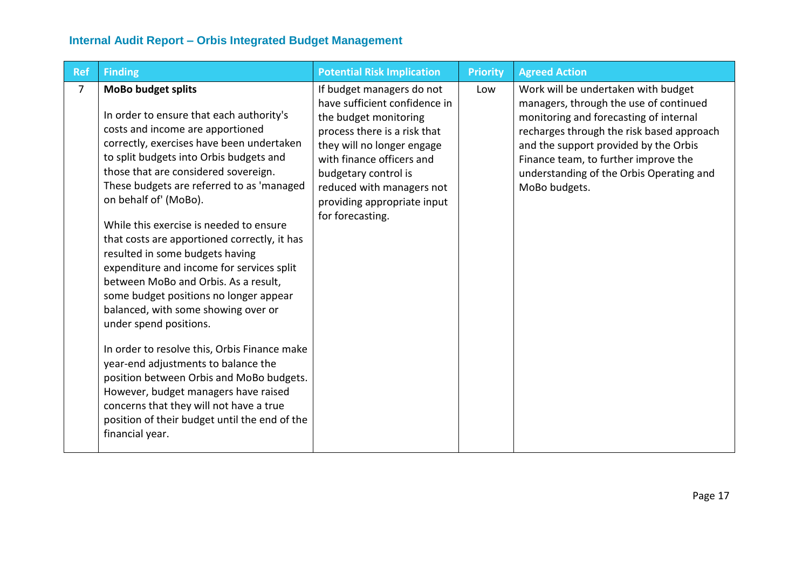| <b>Ref</b> | <b>Finding</b>                                                                                                                                                                                                                                                                                                                                                                                                                                                                                                                                                                                                                                                                                                                                                                                                                                                                                                                          | <b>Potential Risk Implication</b>                                                                                                                                                                                                                                                      | <b>Priority</b> | <b>Agreed Action</b>                                                                                                                                                                                                                                                                                               |
|------------|-----------------------------------------------------------------------------------------------------------------------------------------------------------------------------------------------------------------------------------------------------------------------------------------------------------------------------------------------------------------------------------------------------------------------------------------------------------------------------------------------------------------------------------------------------------------------------------------------------------------------------------------------------------------------------------------------------------------------------------------------------------------------------------------------------------------------------------------------------------------------------------------------------------------------------------------|----------------------------------------------------------------------------------------------------------------------------------------------------------------------------------------------------------------------------------------------------------------------------------------|-----------------|--------------------------------------------------------------------------------------------------------------------------------------------------------------------------------------------------------------------------------------------------------------------------------------------------------------------|
| 7          | <b>MoBo budget splits</b><br>In order to ensure that each authority's<br>costs and income are apportioned<br>correctly, exercises have been undertaken<br>to split budgets into Orbis budgets and<br>those that are considered sovereign.<br>These budgets are referred to as 'managed<br>on behalf of' (MoBo).<br>While this exercise is needed to ensure<br>that costs are apportioned correctly, it has<br>resulted in some budgets having<br>expenditure and income for services split<br>between MoBo and Orbis. As a result,<br>some budget positions no longer appear<br>balanced, with some showing over or<br>under spend positions.<br>In order to resolve this, Orbis Finance make<br>year-end adjustments to balance the<br>position between Orbis and MoBo budgets.<br>However, budget managers have raised<br>concerns that they will not have a true<br>position of their budget until the end of the<br>financial year. | If budget managers do not<br>have sufficient confidence in<br>the budget monitoring<br>process there is a risk that<br>they will no longer engage<br>with finance officers and<br>budgetary control is<br>reduced with managers not<br>providing appropriate input<br>for forecasting. | Low             | Work will be undertaken with budget<br>managers, through the use of continued<br>monitoring and forecasting of internal<br>recharges through the risk based approach<br>and the support provided by the Orbis<br>Finance team, to further improve the<br>understanding of the Orbis Operating and<br>MoBo budgets. |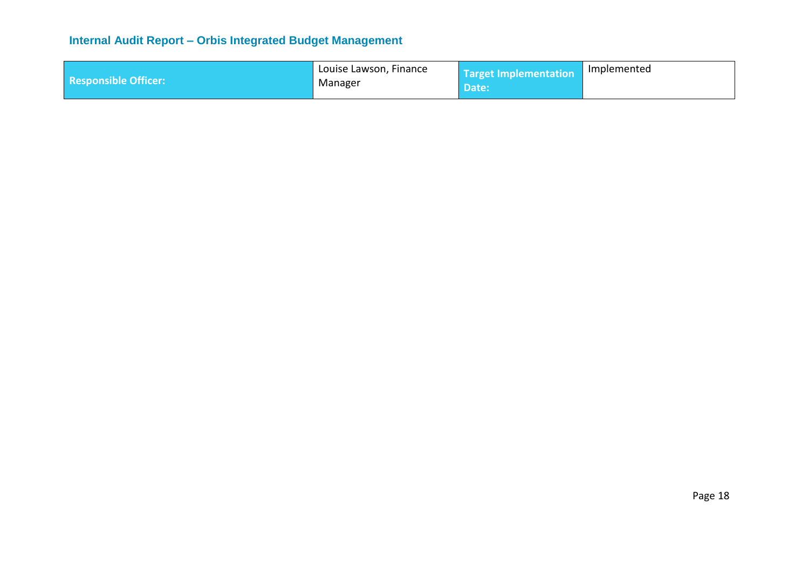| <b>Responsible Officer:</b> | Louise Lawson, Finance | Target Implementation Implemented<br>Date: |  |
|-----------------------------|------------------------|--------------------------------------------|--|
|                             | Manager                |                                            |  |